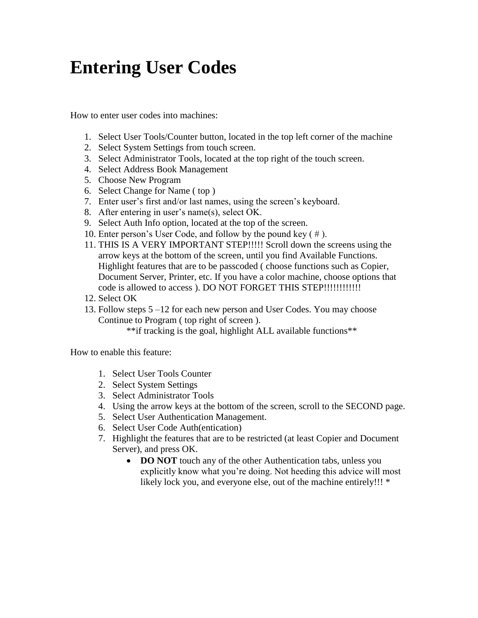## **Entering User Codes**

How to enter user codes into machines:

- 1. Select User Tools/Counter button, located in the top left corner of the machine
- 2. Select System Settings from touch screen.
- 3. Select Administrator Tools, located at the top right of the touch screen.
- 4. Select Address Book Management
- 5. Choose New Program
- 6. Select Change for Name ( top )
- 7. Enter user's first and/or last names, using the screen's keyboard.
- 8. After entering in user's name(s), select OK.
- 9. Select Auth Info option, located at the top of the screen.
- 10. Enter person's User Code, and follow by the pound key ( # ).
- 11. THIS IS A VERY IMPORTANT STEP!!!!! Scroll down the screens using the arrow keys at the bottom of the screen, until you find Available Functions. Highlight features that are to be passcoded ( choose functions such as Copier, Document Server, Printer, etc. If you have a color machine, choose options that code is allowed to access ). DO NOT FORGET THIS STEP!!!!!!!!!!!!!
- 12. Select OK
- 13. Follow steps 5 –12 for each new person and User Codes. You may choose Continue to Program ( top right of screen ).

\*\*if tracking is the goal, highlight ALL available functions\*\*

How to enable this feature:

- 1. Select User Tools Counter
- 2. Select System Settings
- 3. Select Administrator Tools
- 4. Using the arrow keys at the bottom of the screen, scroll to the SECOND page.
- 5. Select User Authentication Management.
- 6. Select User Code Auth(entication)
- 7. Highlight the features that are to be restricted (at least Copier and Document Server), and press OK.
	- **DO NOT** touch any of the other Authentication tabs, unless you explicitly know what you're doing. Not heeding this advice will most likely lock you, and everyone else, out of the machine entirely!!! \*